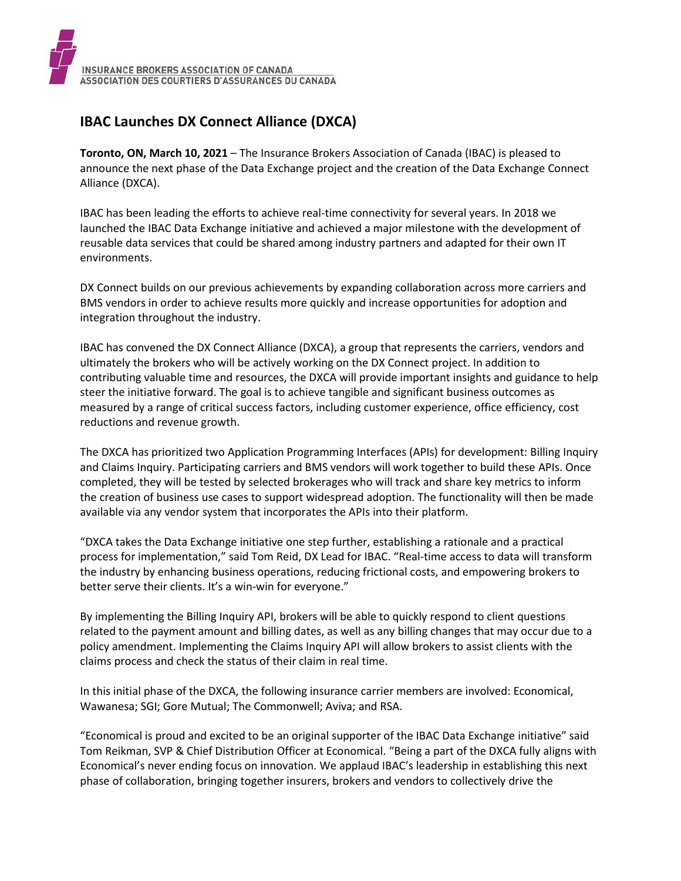## **IBAC Launches DX Connect Alliance (DXCA)**

**Toronto, ON, March 10, 2021** – The Insurance Brokers Association of Canada (IBAC) is pleased to announce the next phase of the Data Exchange project and the creation of the Data Exchange Connect Alliance (DXCA).

IBAC has been leading the efforts to achieve real-time connectivity for several years. In 2018 we launched the IBAC Data Exchange initiative and achieved a major milestone with the development of reusable data services that could be shared among industry partners and adapted for their own IT environments.

DX Connect builds on our previous achievements by expanding collaboration across more carriers and BMS vendors in order to achieve results more quickly and increase opportunities for adoption and integration throughout the industry.

IBAC has convened the DX Connect Alliance (DXCA), a group that represents the carriers, vendors and ultimately the brokers who will be actively working on the DX Connect project. In addition to contributing valuable time and resources, the DXCA will provide important insights and guidance to help steer the initiative forward. The goal is to achieve tangible and significant business outcomes as measured by a range of critical success factors, including customer experience, office efficiency, cost reductions and revenue growth.

The DXCA has prioritized two Application Programming Interfaces (APIs) for development: Billing Inquiry and Claims Inquiry. Participating carriers and BMS vendors will work together to build these APIs. Once completed, they will be tested by selected brokerages who will track and share key metrics to inform the creation of business use cases to support widespread adoption. The functionality will then be made available via any vendor system that incorporates the APIs into their platform.

"DXCA takes the Data Exchange initiative one step further, establishing a rationale and a practical process for implementation," said Tom Reid, DX Lead for IBAC. "Real-time access to data will transform the industry by enhancing business operations, reducing frictional costs, and empowering brokers to better serve their clients. It's a win-win for everyone."

By implementing the Billing Inquiry API, brokers will be able to quickly respond to client questions related to the payment amount and billing dates, as well as any billing changes that may occur due to a policy amendment. Implementing the Claims Inquiry API will allow brokers to assist clients with the claims process and check the status of their claim in real time.

In this initial phase of the DXCA, the following insurance carrier members are involved: Economical, Wawanesa; SGI; Gore Mutual; The Commonwell; Aviva; and RSA.

"Economical is proud and excited to be an original supporter of the IBAC Data Exchange initiative" said Tom Reikman, SVP & Chief Distribution Officer at Economical. "Being a part of the DXCA fully aligns with Economical's never ending focus on innovation. We applaud IBAC's leadership in establishing this next phase of collaboration, bringing together insurers, brokers and vendors to collectively drive the